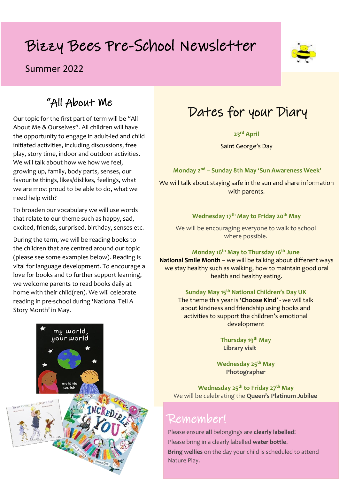# Bizzy Bees Pre-School Newsletter

### Summer 2022



### "All About Me

Our topic for the first part of term will be "All About Me & Ourselves". All children will have the opportunity to engage in adult-led and child initiated activities, including discussions, free play, story time, indoor and outdoor activities. We will talk about how we how we feel. growing up, family, body parts, senses, our favourite things, likes/dislikes, feelings, what we are most proud to be able to do, what we need help with?

To broaden our vocabulary we will use words that relate to our theme such as happy, sad, excited, friends, surprised, birthday, senses etc.

During the term, we will be reading books to the children that are centred around our topic (please see some examples below). Reading is vital for language development. To encourage a love for books and to further support learning, we welcome parents to read books daily at home with their child(ren). We will celebrate reading in pre-school during 'National Tell A Story Month' in May.



**23rd April**

Saint George's Day

**Monday 2 nd – Sunday 8th May 'Sun Awareness Week'**

We will talk about staying safe in the sun and share information with parents.

**Wednesday 17th May to Friday 20th May**

We will be encouraging everyone to walk to school where possible.

**Monday 16th May to Thursday 16th June National Smile Month** – we will be talking about different ways we stay healthy such as walking, how to maintain good oral health and healthy eating.

> **Sunday May 15th National Children's Day UK**  The theme this year is '**Choose Kind**' - we will talk about kindness and friendship using books and activities to support the children's emotional development

> > **Thursday 19th May Library visit**

**Wednesday 25th May Photographer**

**Wednesday 25th to Friday 27th May** We will be celebrating the **Queen's Platinum Jubilee**

### Remember!

Please ensure **all** belongings are **clearly labelled**! Please bring in a clearly labelled **water bottle**. **Bring wellies** on the day your child is scheduled to attend Nature Play.